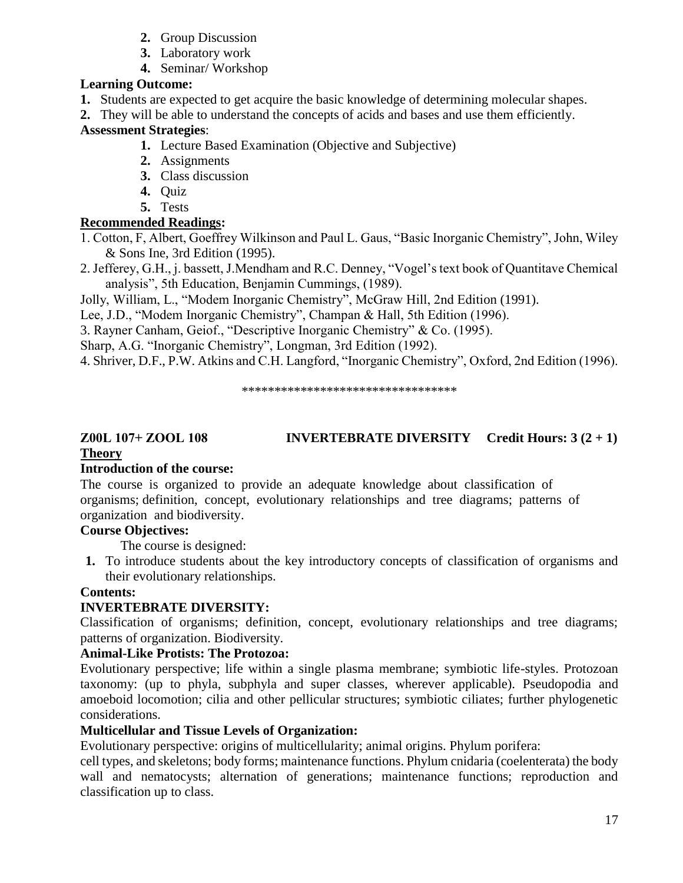# **Z00L 107+ ZOOL 108 INVERTEBRATE DIVERSITY Credit Hours: 3 (2 + 1) Theory**

#### **Introduction of the course:**

The course is organized to provide an adequate knowledge about classification of organisms; definition, concept, evolutionary relationships and tree diagrams; patterns of organization and biodiversity.

# **Course Objectives:**

The course is designed:

**1.** To introduce students about the key introductory concepts of classification of organisms and their evolutionary relationships.

## **Contents:**

# **INVERTEBRATE DIVERSITY:**

Classification of organisms; definition, concept, evolutionary relationships and tree diagrams; patterns of organization. Biodiversity.

# **Animal-Like Protists: The Protozoa:**

Evolutionary perspective; life within a single plasma membrane; symbiotic life-styles. Protozoan taxonomy: (up to phyla, subphyla and super classes, wherever applicable). Pseudopodia and amoeboid locomotion; cilia and other pellicular structures; symbiotic ciliates; further phylogenetic considerations.

# **Multicellular and Tissue Levels of Organization:**

Evolutionary perspective: origins of multicellularity; animal origins. Phylum porifera:

cell types, and skeletons; body forms; maintenance functions. Phylum cnidaria (coelenterata) the body wall and nematocysts; alternation of generations; maintenance functions; reproduction and classification up to class.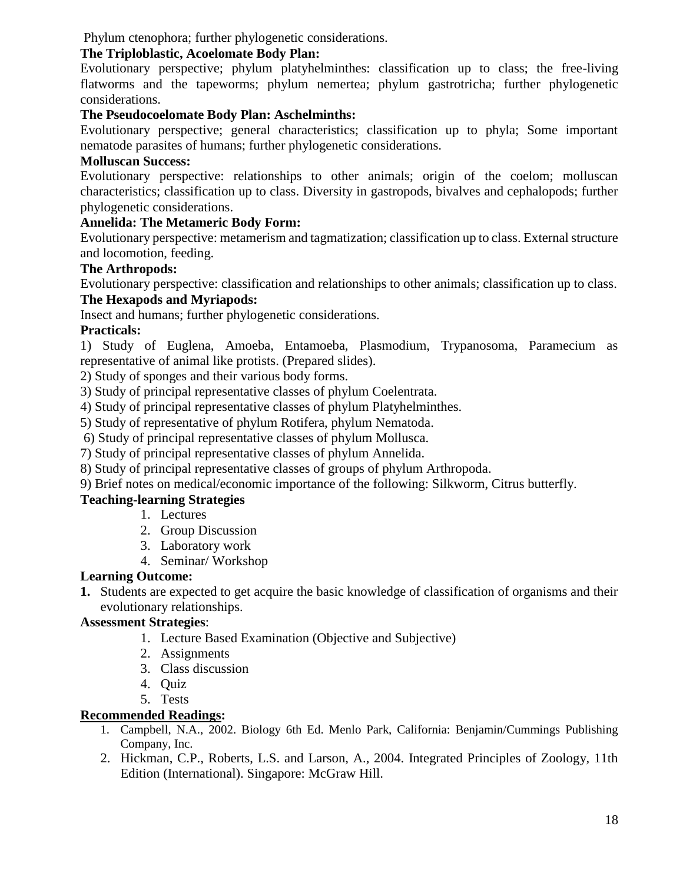Phylum ctenophora; further phylogenetic considerations.

## **The Triploblastic, Acoelomate Body Plan:**

Evolutionary perspective; phylum platyhelminthes: classification up to class; the free-living flatworms and the tapeworms; phylum nemertea; phylum gastrotricha; further phylogenetic considerations.

# **The Pseudocoelomate Body Plan: Aschelminths:**

Evolutionary perspective; general characteristics; classification up to phyla; Some important nematode parasites of humans; further phylogenetic considerations.

## **Molluscan Success:**

Evolutionary perspective: relationships to other animals; origin of the coelom; molluscan characteristics; classification up to class. Diversity in gastropods, bivalves and cephalopods; further phylogenetic considerations.

## **Annelida: The Metameric Body Form:**

Evolutionary perspective: metamerism and tagmatization; classification up to class. External structure and locomotion, feeding.

# **The Arthropods:**

Evolutionary perspective: classification and relationships to other animals; classification up to class.

# **The Hexapods and Myriapods:**

Insect and humans; further phylogenetic considerations.

### **Practicals:**

1) Study of Euglena, Amoeba, Entamoeba, Plasmodium, Trypanosoma, Paramecium as representative of animal like protists. (Prepared slides).

2) Study of sponges and their various body forms.

3) Study of principal representative classes of phylum Coelentrata.

4) Study of principal representative classes of phylum Platyhelminthes.

5) Study of representative of phylum Rotifera, phylum Nematoda.

6) Study of principal representative classes of phylum Mollusca.

7) Study of principal representative classes of phylum Annelida.

8) Study of principal representative classes of groups of phylum Arthropoda.

9) Brief notes on medical/economic importance of the following: Silkworm, Citrus butterfly.

### **Teaching-learning Strategies**

- 1. Lectures
- 2. Group Discussion
- 3. Laboratory work
- 4. Seminar/ Workshop

# **Learning Outcome:**

**1.** Students are expected to get acquire the basic knowledge of classification of organisms and their evolutionary relationships.

### **Assessment Strategies**:

- 1. Lecture Based Examination (Objective and Subjective)
- 2. Assignments
- 3. Class discussion
- 4. Quiz
- 5. Tests

### **Recommended Readings:**

- 1. Campbell, N.A., 2002. Biology 6th Ed. Menlo Park, California: Benjamin/Cummings Publishing Company, Inc.
- 2. Hickman, C.P., Roberts, L.S. and Larson, A., 2004. Integrated Principles of Zoology, 11th Edition (International). Singapore: McGraw Hill.